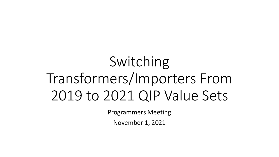# Switching Transformers/Importers From 2019 to 2021 QIP Value Sets

Programmers Meeting

November 1, 2021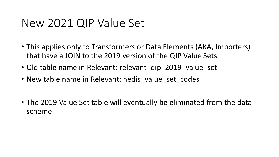#### New 2021 QIP Value Set

- This applies only to Transformers or Data Elements (AKA, Importers) that have a JOIN to the 2019 version of the QIP Value Sets
- Old table name in Relevant: relevant qip 2019 value set
- New table name in Relevant: hedis\_value\_set\_codes
- The 2019 Value Set table will eventually be eliminated from the data scheme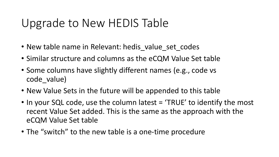#### Upgrade to New HEDIS Table

- New table name in Relevant: hedis value set codes
- Similar structure and columns as the eCQM Value Set table
- Some columns have slightly different names (e.g., code vs code value)
- New Value Sets in the future will be appended to this table
- In your SQL code, use the column latest = 'TRUE' to identify the most recent Value Set added. This is the same as the approach with the eCQM Value Set table
- The "switch" to the new table is a one-time procedure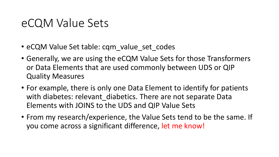#### eCQM Value Sets

- eCQM Value Set table: cqm\_value\_set\_codes
- Generally, we are using the eCQM Value Sets for those Transformers or Data Elements that are used commonly between UDS or QIP Quality Measures
- For example, there is only one Data Element to identify for patients with diabetes: relevant diabetics. There are not separate Data Elements with JOINS to the UDS and QIP Value Sets
- From my research/experience, the Value Sets tend to be the same. If you come across a significant difference, let me know!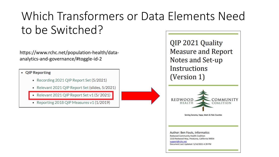## Which Transformers or Data Elements Need to be Switched?

https://www.rchc.net/population-health/dataanalytics-and-governance/#toggle-id-2

• QIP Reporting

- Recording 2021 QIP Report Set (5/2021)
- Relevant 2021 QIP Report Set (slides, 5/2021)
- Relevant 2021 QIP Report Set v1 (5/2021)
- Reporting 2018 QIP Measures v1 (1/2019)

QIP 2021 Quality **Measure and Report** Notes and Set-up **Instructions** (Version 1) **REDWOOD** COMMUNITY **HEALTH** OALITION Serving Sonoma, Napa, Marin & Yolo Counties Author: Ben Fouts, Informatics **Redwood Community Health Coalition** 1310 Redwood Way, Petaluma, California 94954 support@rchc.net Document Last Updated: 5/14/2021 4:39 PM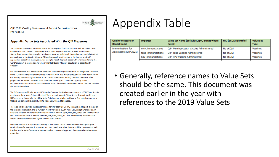

QIP 2021 Quality Measure and Report Set Instructions (Version 1)

#### **Appendix: Value Sets Associated With the OIP Measures**

The QIP Quality Measures use Value Sets to define diagnosis (ICD), procedure (CPT), lab (LOINC), and immunization (CVX) codes. This ensures that all reporting health centers are extracting data in a standardized manner. For example, the diabetes value set includes all diagnosis codes for diabetes that are applicable to the Quality Measure. This relieves each health center of the burden to identify appropriate codes from their system. For example, not all diagnosis codes with a name containing the word "diabetes" is appropriate for identifying that Quality Measure population of patients with diabetes.

It is recommended that Importers (or associated Transformers) directly utilize the designated Value Set in the SQL code. If the health center uses additional codes as a matter of routine (or if the health center can identify records using key words in structured data or other means), these can be added after proper internal review. The RCHC Data Standards and Integrity Committee regularly makes recommendations for data standardization and many of these recommendations have been discussed in the instructions above.

The QIP measures officially use the HEDIS Value Sets and the UDS measures use the eCQM Value Sets. In most cases, these Value Sets are identical. There are not separate Value Sets in Relevant for QIP and UDS measures. Frequently, the eCQM Value Sets have already been utilized in Relevant. For measures that are not comparable, the QIP/HEDIS Value Set will need to be used.

The large table below lists the standard Importers for each QIP Quality Measure and Report, along with the associated Value Set. The ID numbers mostly reference eCQM Value Sets, except where noted. In Relevant, the table with the eCQM Value Set codes is named "cqm\_value\_set\_codes" and the table with the QIP Value Set codes is named "relevant\_qip\_2019\_value\_set." The most recently updated Value Sets on the table are identified by the column latest = TRUE.

Note that the Value Sets pick up codes only. If your health center has other ways of recognizing the required data (for example, it is entered into structured data), then those should be considered as well. In other words, Value Sets are the standard and recommended approach, but appropriate alternatives may exist.

#### Appendix Table

| <b>Quality Measure or</b><br><b>Report Name</b> | Importer           | Value Set Name (default eCQM, except where<br>noted) | <b>OID (eCQM identifier)</b> | <b>Value Set</b><br><b>Type</b> |  |
|-------------------------------------------------|--------------------|------------------------------------------------------|------------------------------|---------------------------------|--|
| Immunizations for                               | mcy immunizations  | <b>QIP: Meningococcal Vaccine Administered</b>       | No eCQM                      | Vaccines                        |  |
| Adolescents (QIP 2021)                          | tdap immunizations | <b>QIP: Tdap Vaccine Administered</b>                | No eCOM                      | Vaccines                        |  |
|                                                 | hpy immunizations  | QIP: HPV Vaccine Administered                        | No eCQM                      | Vaccines                        |  |

• Generally, reference names to Value Sets should be the same. This document was created earlier in the year with references to the 2019 Value Sets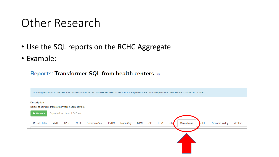#### Other Research

- Use the SQL reports on the RCHC Aggregate
- Example:

| <b>Reports: Transformer SQL from health centers of</b>                                                                                                       |                           |                            |                           |                          |  |  |  |  |  |
|--------------------------------------------------------------------------------------------------------------------------------------------------------------|---------------------------|----------------------------|---------------------------|--------------------------|--|--|--|--|--|
|                                                                                                                                                              |                           |                            |                           |                          |  |  |  |  |  |
| Showing results from the last time this report was run at October 25, 2021 11:07 AM. If the queried data has changed since then, results may be out of date. |                           |                            |                           |                          |  |  |  |  |  |
| <b>Description</b>                                                                                                                                           |                           |                            |                           |                          |  |  |  |  |  |
| Select of sql from transformer from health centers<br>Expected run time: 1.345 sec.<br>Refresh                                                               |                           |                            |                           |                          |  |  |  |  |  |
|                                                                                                                                                              |                           |                            |                           |                          |  |  |  |  |  |
| <b>AVHC</b><br>CommuniCare<br>Results table<br><b>AVH</b><br><b>CHA</b>                                                                                      | MCC<br>LVHC<br>Marin City | <b>PHC</b><br>Ole<br>Ritte | Santa Rosa<br><b>CIHP</b> | Sonoma Valley<br>Winters |  |  |  |  |  |
|                                                                                                                                                              |                           |                            |                           |                          |  |  |  |  |  |
|                                                                                                                                                              |                           |                            |                           |                          |  |  |  |  |  |
|                                                                                                                                                              |                           |                            |                           |                          |  |  |  |  |  |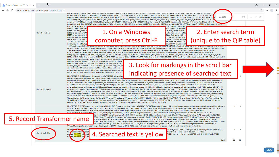| Relevant: Transformer SQL from http://               |                                                                                                                                                                                                                                                                                                                                                                                                                                                                                                                                                                                                                                                                                                                                                                                                                                                                                                                                                                                                                                                                                                                                                                                                                                                                                                                                                                                                                                                                                                                                                                                                                                                                                                                                                                                                                                                                                                                                                                                                                                                                                                                                                                                                                                                                                                                                                                                                                                                       |
|------------------------------------------------------|-------------------------------------------------------------------------------------------------------------------------------------------------------------------------------------------------------------------------------------------------------------------------------------------------------------------------------------------------------------------------------------------------------------------------------------------------------------------------------------------------------------------------------------------------------------------------------------------------------------------------------------------------------------------------------------------------------------------------------------------------------------------------------------------------------------------------------------------------------------------------------------------------------------------------------------------------------------------------------------------------------------------------------------------------------------------------------------------------------------------------------------------------------------------------------------------------------------------------------------------------------------------------------------------------------------------------------------------------------------------------------------------------------------------------------------------------------------------------------------------------------------------------------------------------------------------------------------------------------------------------------------------------------------------------------------------------------------------------------------------------------------------------------------------------------------------------------------------------------------------------------------------------------------------------------------------------------------------------------------------------------------------------------------------------------------------------------------------------------------------------------------------------------------------------------------------------------------------------------------------------------------------------------------------------------------------------------------------------------------------------------------------------------------------------------------------------------|
| ■ rchc.relevant.healthcare/report_builder/reports/57 |                                                                                                                                                                                                                                                                                                                                                                                                                                                                                                                                                                                                                                                                                                                                                                                                                                                                                                                                                                                                                                                                                                                                                                                                                                                                                                                                                                                                                                                                                                                                                                                                                                                                                                                                                                                                                                                                                                                                                                                                                                                                                                                                                                                                                                                                                                                                                                                                                                                       |
| relevant_covid_cair                                  | (inclust name), OREATE INDEA Intervincipations on place of plan on the pations (including memory) --Oreate miniprover table in EADTO the Call Inpitromp, OREATE TEMPORANT TADEE<br>mc_cair_mpi_temp AS (SELECT DISTINCT ON (mrn) * FROM ( SELECT *, 1 AS match_key_id FROM cair_patients INNER JOIN mc_patients ON last_name = mc_last_name AND LEFT(first_name, 6) = j<br>$\wedge$ $\vee$ $\times$<br>qip_2019<br>1/10<br>LEFT(mc_first_name, 6) AND date_of_birth = mc_date_of_birth UNION SELECT *, 2 AS match_key_id FROM cair_patients INNER JOIN mc_patients ON LEFT(last_name, 1) = LEFT(mc_last_name, 1) AND<br>SUBSTRING(first_name, 3, 10) = SUBSTRING(mc_first_name, 3, 10) AND SUBSTRING(first_name, 2, 9) = SUBSTRING(mc_first_name, 2, 9) AND date_of_birth = mc_date_of_birth UNION SELECT *, 3 AN<br>match key id FROM cair patients INNER JOIN mc patients ON SUBSTRING(last name, 2, 7) = SUBSTRING(mc last name, 2, 7) AND LEFT(first name, 6) = LEFT(mc first name, 6) AND date of birth =<br>mc_date_of_birth UNION SELECT *, 4 AS match_key_id FROM cair_patients INNER JOIN mc_patients ON LEFT(last_name, 2) = LEFT(mc_last_name, 2) AND LEFT(first_name, 6) = LEFT(mc_first_name, 6) = LEFT(mc_first_name, 6) -- AND<br>php $\operatorname{cin} = \operatorname{sr} \operatorname{cin}$ AND date<br>mc_patients ON SUBSTRIN<br>LEFT(mc_first_name, 3) AM<br>1. On a Windows<br>5) AND LEFT(first_name, 3<br><b>OM cair_patients INNER JO</b><br>2. Enter search term<br><b>B AS match_key_id FROM ca</b><br>LEFT(mc_last_name, 4) AM<br>$IG(mc_first_name, 2, 9) = SU$<br>LEFT(mc_last_name, $1$ ) = 1<br><b>R</b> FROM date_of_birth) UNIO<br>FROM mc_date_of_birth)<br>(unique to the QIP table)<br>computer, press Ctrl-F<br>name, 3, 10) AND SUBSTRI<br><b>INNER JOIN mc_patients (</b><br>2, 9) AND EXTRACT(DAY F<br>rth) = EXTRACT(YEAR FROI<br>ey id FROM cair patients I<br>match key id FROM lgh<br>= LEFT(last name, 5) AND $E_{\text{eff}}$                                                                                                                                                                                                                                                                                                                                                                                                                                                                       |
|                                                      | EXTRACT(YEAR FROM date_of_birth) UNION SELECT *, 12 AS match_key_id FROM cair_patients INNER JOIN mc_patients ON LEFT(mc_last_name, 1) = LEFT(first_name, 1) AND SUBSTRING(mc_last_name, 3, 10)<br>= SUBSTRING(first_name, 3, 10) AND SUBSTRING(mc_first_name, 2, 9) = SUBSTRING(last_name, 2, 9) AND EXTRACT(MONTH FROM mc_date_of_birth) = EXTRACT(MONTH FROM date_of_birth) AND<br>EXTRACT(YEAR FROM mc_date_of_birth) = EXTRACT(YEAR FROM date_of_birth) UNION SELECT*, 13 AS match_key_id FROM cair_patients INNER JOIN mc_patients ON LEFT(mc_last_name, 1) =<br>LEFT(first_name, 1) AND SUBSTRING(mc_last_name, 3, 10) = SUBSTRING(first_name, 3, 10) AND SUBSTRING(mc_first_name, 2, 9) = SUBSTRING(last_name, 2, 9) AND EXTRACT(DAY FROM mc_date_of_birth) =<br>EXTRACT(DAY FROM date_of_birth) AND EXTRACT(YEAR FROM mc_date_of_birth) = EXTRACT(YEAR FROM date_of_birth) UNION SELECT *, 14 AS match_key_id FROM cair_patients INNER JOIN mc_patients ON<br>LEFT(mc_last_name, 5) = LEFT(first_name, 5) AND LEFT(mc_first_name, 4) = LEFT/last_name_4) AND EXTRACT/MONTH FROM mc_date_of_birth) = EXTRACT/MONTH FROM date_of_birth) AND EXTRACT/VEAR<br>FROM mc_date_of_birth) = EXTRACT(YEAR FROM date_of_birth) /*UNION \$<br>LEFT(Igh_first_name, 6) = LEFT(Ichc_first_name, 6) AND Igh_date_of_birth<br>3. Look for markings in the scroll bar<br>cleaned_cair_mpi AS SELECT TRUE AS matched, p.mrn, mpi.first_name, mp<br>cair_patients mc ON mc.first_name = mpi.first_name AND mc.last_name = n<br>mc.last_name, mc.date_of_birth FROM cair_patients mc LEFT JOIN mc_cair<br>indicating presence of searched text<br>WHERE mpi.mc_first_name IS NULL AND mpi.last_name IS NULL AND mpi.                                                                                                                                                                                                                                                                                                                                                                                                                                                                                                                                                                                                                                                                                                                                             |
| relevant_lab_results                                 | DROP TABLE IF EXISTS relevant_lab_results; CREATE TABLE relevant_lab<br>following dates as the 'performed on' date: collection date, -- result date, rev<br>WHEN resultdate IS NOT NULL AND EXTRACT(YEAR FROM resultdate) > 1901 THEN resultdate :: DATE WHEN revieweddate IS NOT NULL AND EXTRACT(YEAR FROM revieweddate) > 1901 THEN revieweddate ::<br>DATE ELSE enc.date :: DATE END AS performed_on, Id.resultdate :: DATE AS result_date, loinc.code AS loinc_code, items.itemname AS test, comp.itemname AS component, COALESCE(Idd.value, Id.result) AS<br>result, Id.result AS qualitative_result, SUBSTRING(COALESCE(Idd.value, Id.result), "Id+\.?\d*') :: NUMERIC AS numeric_result, -- ecw specific Id.colldate :: DATE AS colldate, Id.revieweddate :: DATE AS<br>revieweddate, Id.result AS manual_result, Idd.value AS value, Id.received, Id.reviewedby, Id.type, Id.reportid -- Id.hmflag AS health_maintenance (occasionally clients want this noted) FROM labdata Id INNER JOIN<br>enc ON enc.encounterid = Id.encounterid LEFT JOIN labdatadetail Idd ON Idd.reportid = Id.reportid INNER JOIN items ON items.itemid = Id.itemid LEFT JOIN labloinccodes loinc ON loinc.itemID = Idd.propID AND<br>loinc.deleteflag = 0 LEFT JOIN items comp ON comp.itemid = Idd.propid WHERE enc.deleteflag = 0 AND Id.deleteflag = 0 AND Id.cancelled = 0 -- excludes DI (1) and procedures (3) AND Id.type = 0 -- Must have a<br>result or value populated AND COALESCE(Id.result, Idd.value) IS NOT NULL -- Must be received AND Id.received = 1 --Optional: must be reviewed --AND reviewedby <> 0 -- Should not contain any of the following<br>values, which indicate that the test is not correctly resulted AND NOT COALESCE(Id.result, ") ILIKE ANY (ARRAY ["%not performed%', "%tnp%', '%q.n.s%', '%not sufficient%', "%insufficient%', "%insufficient%', '%qns%',<br>"%unsatisfactory%", "%not satisfactory%", "%invalid%", "%error%", "%not done%", "%cancelled%") AND NOT COALESCE(Idd.value, ") ILIKE ANY (ARRAY ["%not performed%", "%tnp%", "%q.n.s%", "%not sufficient%",<br>"%insufficient%", "%qns%", "%unsatisfactory%", "%not satisfactory%", "%invalid%", "%error%", "%not done%", "%cancelled%"]); CREATE INDEX index_relevant_lab_results_on_patient_id ON relevant_lab_results<br>(patient_id); CREATE INDEX index_relevant_lab_results_on_visit_id ON relevant_lab_results (visit_id); ANALYZE relevant_lab_results; |
| 5. Record Transformer name                           | DROP TABLE IF EXISTS relevant_surgical_history; CREATE TABLE relevant_surgical_history AS SELECT DISTINCT enc.patientid patient_id, surgicalhistory.reason, surgicalhistory.retode, surgicalhistory.centode, surgicalhistory.d<br>surgical_hx_date, enc.date :: DATE AS enc_date, CASE WHEN surgicalhistory.date IS NULL THEN enc.date :: DATE WHEN surgicalhistory.date ~* "^\d\d\d\d\d\d\d"\$' THEN make_date(surgicalhistory.date :: INT, 12, 31)<br>WHEN is_date(surgicalhistory.date) THEN surgicalhistory.date :: DATE WHEN surgicalhistory.date ~* "^\d\d\/\d\d\d\d\d\$' AND LEFT(surgicalhistory.date, 2) :: INT BETWEEN 1 AND 12 THEN<br>make_date/RIGHT/surgicalhistory.date, 4) :: INT, LEFT(surgicalhistory.date, 2) :: INT, 1) WHEN surgicalhistory.date ~* '^\d\/d\d\d\d\$' AND LEFT(surgicalhistory.date, 1) :: INT BETWEEN 1 AND 9 THEN<br>te, 4) :: INT, LEFT(surgicalhistory.date, 1) :: INT, 1) ELSE enc.date :: DATE END AS performed_on, is_date(COALESCE(surgicalhistory.date, ")) AS exact_date, CASE WHEN<br>RRAY ["%tot%', '%radical%', '%complete%', '%nonsparing of cervix%', '%full%', '%bilat']) AND NOT surgicalhistory.reason ILIKE ANY (ARRAY ['%subtotal%', '%cervix spar%',<br>SE END AS complete, CASE WHEN surgicalhistory.reason ILIKE ANY ('{%right%, %rt %, % R %}') AND NOT surgicalhistory.reason ILIKE ANY (ARRAY ['%bil%', '%b/l%',<br>al%']) THEN TRUE ELSE FALSE END AS right_side, CASE WHEN surgicalhistory.reason ILIKE ANY ('{%left%, %lt %, % L %}') AND NOT surgicalhistory.reason ILIKE ANY (ARRAY<br>%dbl%', '%total%']) THEN TRUE ELSE FALSE END AS left_side FROM surgicalhistory INNER JOIN enc ON enc.encounterid = surgicalhistory.encounterid WHERE<br>COALESCE(surgicalhistory.reason, surgicalhistory.cptcode) IS NOT NULL; CREATE INDEX index_relevant_surgical_history_on_patient_id ON relevant_surgical_history (patient_id);                                                                                                                                                                                                                                                                                                                                                                                                                                                                                                                                                        |
|                                                      | DROP <sub>I</sub><br>n, visit_date :: DATE A S ended_on FROM relevant_visits WHERE EXIST S( --<br><b>ALLER ARE STS</b> relev<br>Visit x code or billing code f<br>evant_visits.id AND code IN (SELECT code FROM                                                                                                                                                                                                                                                                                                                                                                                                                                                                                                                                                                                                                                                                                                                                                                                                                                                                                                                                                                                                                                                                                                                                                                                                                                                                                                                                                                                                                                                                                                                                                                                                                                                                                                                                                                                                                                                                                                                                                                                                                                                                                                                                                                                                                                       |
| relevant well child                                  | Tele ant_dip_2019_value Seat 4. Searched text is yellow<br>VHERE visit_id = relevant_visits.id AND code IN (SELECT code FROM<br><b>Totals</b><br>86                                                                                                                                                                                                                                                                                                                                                                                                                                                                                                                                                                                                                                                                                                                                                                                                                                                                                                                                                                                                                                                                                                                                                                                                                                                                                                                                                                                                                                                                                                                                                                                                                                                                                                                                                                                                                                                                                                                                                                                                                                                                                                                                                                                                                                                                                                   |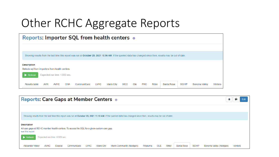### Other RCHC Aggregate Reports

| Reports: Importer SQL from health centers of                         |            |                               |     |                                                                                                                                                              |             |            |     |     |     |        |            |              |               |         |
|----------------------------------------------------------------------|------------|-------------------------------|-----|--------------------------------------------------------------------------------------------------------------------------------------------------------------|-------------|------------|-----|-----|-----|--------|------------|--------------|---------------|---------|
|                                                                      |            |                               |     |                                                                                                                                                              |             |            |     |     |     |        |            |              |               |         |
|                                                                      |            |                               |     | Showing results from the last time this report was run at October 25, 2021 10:56 AM. If the queried data has changed since then, results may be out of date. |             |            |     |     |     |        |            |              |               |         |
| <b>Description</b><br>Selects sql from importers from health centers |            |                               |     |                                                                                                                                                              |             |            |     |     |     |        |            |              |               |         |
| $\blacktriangleright$ Refresh                                        |            | Expected run time: 1.835 sec. |     |                                                                                                                                                              |             |            |     |     |     |        |            |              |               |         |
| Results table                                                        | <b>AVH</b> | <b>AVHC</b>                   | CHA | CommuniCare                                                                                                                                                  | <b>LVHC</b> | Marin City | MCC | Ole | PHC | Ritter | Santa Rosa | <b>SCIHP</b> | Sonoma Valley | Winters |

| <b>Reports: Care Gaps at Member Centers of</b>                                                                                                                                                                   |         |  |  |  |  |  |  |  |  |  |
|------------------------------------------------------------------------------------------------------------------------------------------------------------------------------------------------------------------|---------|--|--|--|--|--|--|--|--|--|
|                                                                                                                                                                                                                  |         |  |  |  |  |  |  |  |  |  |
| Showing results from the last time this report was run at October 25, 2021 11:10 AM. If the queried data has changed since then, results may be out of date.                                                     |         |  |  |  |  |  |  |  |  |  |
| <b>Description</b><br>All care gaps at RCHC member health centers. To access the SQL for a given custom care gap,<br>run this report                                                                             |         |  |  |  |  |  |  |  |  |  |
| Expected run time: 0.509 sec.<br>$\triangleright$ Refresh                                                                                                                                                        |         |  |  |  |  |  |  |  |  |  |
| Ritter<br>Santa Rosa<br><b>SCIHP</b><br><b>LVHC</b><br><b>Marin City</b><br>OLE<br>Sonoma Valley (Nextgen)<br>Alexander Valley<br><b>AVHC</b><br>Marin Community (Nextgen)<br>Petaluma<br>Coastal<br>Communicare | Winters |  |  |  |  |  |  |  |  |  |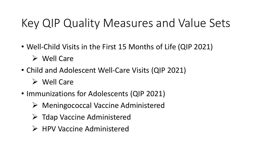### Key QIP Quality Measures and Value Sets

- Well-Child Visits in the First 15 Months of Life (QIP 2021)
	- ➢ Well Care
- Child and Adolescent Well-Care Visits (QIP 2021)
	- ➢ Well Care
- Immunizations for Adolescents (QIP 2021)
	- ➢ Meningococcal Vaccine Administered
	- ➢ Tdap Vaccine Administered
	- ➢ HPV Vaccine Administered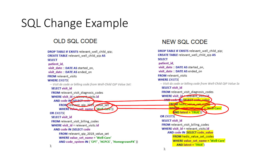#### **SQL Change Example**

#### OLD SQL CODE

DROP TABLE IF EXISTS relevant well child gip; **CREATE TABLE relevant well child gip AS SELECT** patient id. visit date :: DATE AS started\_on, visit date :: DATE AS ended on **FROM** relevant visits **WHERE EXISTS(** -- Visit dx code or billing code from Well-Child QIP Value Set: **SELECT visit id** FROM relevant visit diagnosis codes WHERE visit\_id = relevant\_visits.id **AND code IN (SELECT code** FROM relevant gip 2019 value set WHERE value set name t 'Well Care')) **OR EXISTS SELECT visit id** FROM relevant visit billing codes WHERE visit id = relevant visits.id **AND code IN (SELECT code** FROM relevant gip 2019 value set WHERE value set name = 'Well-Care' AND code system IN ('CPT', 'HCPCS', 'HomegrownPX')) );

#### **NEW SQL CODE**

DROP TABLE IF EXISTS relevant\_well\_child\_qip; CREATE TABLE relevant well child gip AS **SELECT** patient id. visit\_date:: DATE AS started\_on, visit date :: DATE AS ended on FROM relevant visits **WHERE EXISTS** -- Visit dx code or billing code from Well-Child QIP Value Se **SELECT visit id** FROM relevant visit diagnosis codes WHERE visit id relevant visits.id **AND code IN ISELECT code value EROM** hedis value set con-WHERE we have continued = "Well-Care"  $AND$  latest = 'TRUE') **OR EXISTS SELECT visit id** FROM relevant\_visit\_billing\_codes WHERE visit id = relevant visits.id AND code IN (SELECT code value **FROM** hedis value set codes **WHERE value set name = 'Well-Care' AND latest = 'TRUE')**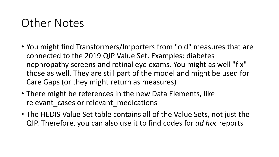#### Other Notes

- You might find Transformers/Importers from "old" measures that are connected to the 2019 QIP Value Set. Examples: diabetes nephropathy screens and retinal eye exams. You might as well "fix" those as well. They are still part of the model and might be used for Care Gaps (or they might return as measures)
- There might be references in the new Data Elements, like relevant cases or relevant medications
- The HEDIS Value Set table contains all of the Value Sets, not just the QIP. Therefore, you can also use it to find codes for *ad hoc* reports